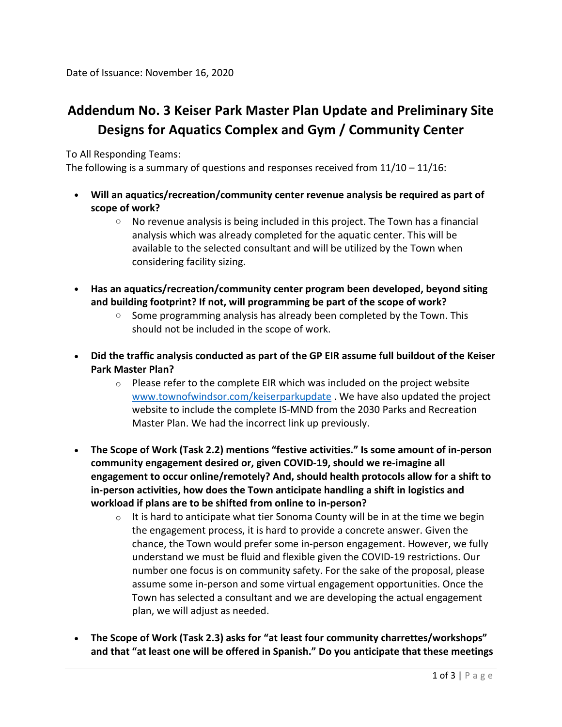## **Addendum No. 3 Keiser Park Master Plan Update and Preliminary Site Designs for Aquatics Complex and Gym / Community Center**

To All Responding Teams:

The following is a summary of questions and responses received from  $11/10 - 11/16$ :

- **Will an aquatics/recreation/community center revenue analysis be required as part of scope of work?**
	- $\circ$  No revenue analysis is being included in this project. The Town has a financial analysis which was already completed for the aquatic center. This will be available to the selected consultant and will be utilized by the Town when considering facility sizing.
- **Has an aquatics/recreation/community center program been developed, beyond siting and building footprint? If not, will programming be part of the scope of work?**
	- $\circ$  Some programming analysis has already been completed by the Town. This should not be included in the scope of work.
- **Did the traffic analysis conducted as part of the GP EIR assume full buildout of the Keiser Park Master Plan?**
	- $\circ$  Please refer to the complete EIR which was included on the project website [www.townofwindsor.com/keiserparkupdate](http://www.townofwindsor.com/keiserparkupdate) . We have also updated the project website to include the complete IS-MND from the 2030 Parks and Recreation Master Plan. We had the incorrect link up previously.
- **The Scope of Work (Task 2.2) mentions "festive activities." Is some amount of in-person community engagement desired or, given COVID-19, should we re-imagine all engagement to occur online/remotely? And, should health protocols allow for a shift to in-person activities, how does the Town anticipate handling a shift in logistics and workload if plans are to be shifted from online to in-person?**
	- $\circ$  It is hard to anticipate what tier Sonoma County will be in at the time we begin the engagement process, it is hard to provide a concrete answer. Given the chance, the Town would prefer some in-person engagement. However, we fully understand we must be fluid and flexible given the COVID-19 restrictions. Our number one focus is on community safety. For the sake of the proposal, please assume some in-person and some virtual engagement opportunities. Once the Town has selected a consultant and we are developing the actual engagement plan, we will adjust as needed.
- **The Scope of Work (Task 2.3) asks for "at least four community charrettes/workshops" and that "at least one will be offered in Spanish." Do you anticipate that these meetings**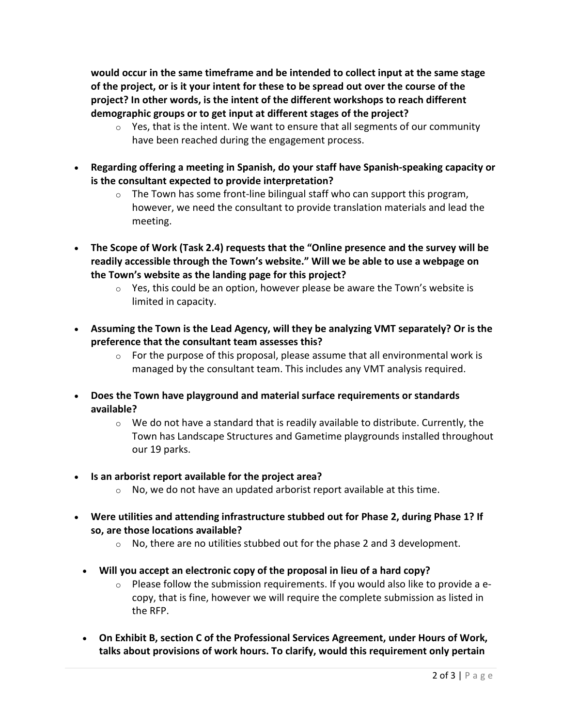**would occur in the same timeframe and be intended to collect input at the same stage of the project, or is it your intent for these to be spread out over the course of the project? In other words, is the intent of the different workshops to reach different demographic groups or to get input at different stages of the project?**

- $\circ$  Yes, that is the intent. We want to ensure that all segments of our community have been reached during the engagement process.
- **Regarding offering a meeting in Spanish, do your staff have Spanish-speaking capacity or is the consultant expected to provide interpretation?**
	- $\circ$  The Town has some front-line bilingual staff who can support this program, however, we need the consultant to provide translation materials and lead the meeting.
- **The Scope of Work (Task 2.4) requests that the "Online presence and the survey will be readily accessible through the Town's website." Will we be able to use a webpage on the Town's website as the landing page for this project?**
	- $\circ$  Yes, this could be an option, however please be aware the Town's website is limited in capacity.
- **Assuming the Town is the Lead Agency, will they be analyzing VMT separately? Or is the preference that the consultant team assesses this?**
	- $\circ$  For the purpose of this proposal, please assume that all environmental work is managed by the consultant team. This includes any VMT analysis required.
- **Does the Town have playground and material surface requirements or standards available?**
	- $\circ$  We do not have a standard that is readily available to distribute. Currently, the Town has Landscape Structures and Gametime playgrounds installed throughout our 19 parks.
- **Is an arborist report available for the project area?**
	- $\circ$  No, we do not have an updated arborist report available at this time.
- **Were utilities and attending infrastructure stubbed out for Phase 2, during Phase 1? If so, are those locations available?** 
	- $\circ$  No, there are no utilities stubbed out for the phase 2 and 3 development.
	- **Will you accept an electronic copy of the proposal in lieu of a hard copy?** 
		- $\circ$  Please follow the submission requirements. If you would also like to provide a ecopy, that is fine, however we will require the complete submission as listed in the RFP.
	- **On Exhibit B, section C of the Professional Services Agreement, under Hours of Work, talks about provisions of work hours. To clarify, would this requirement only pertain**